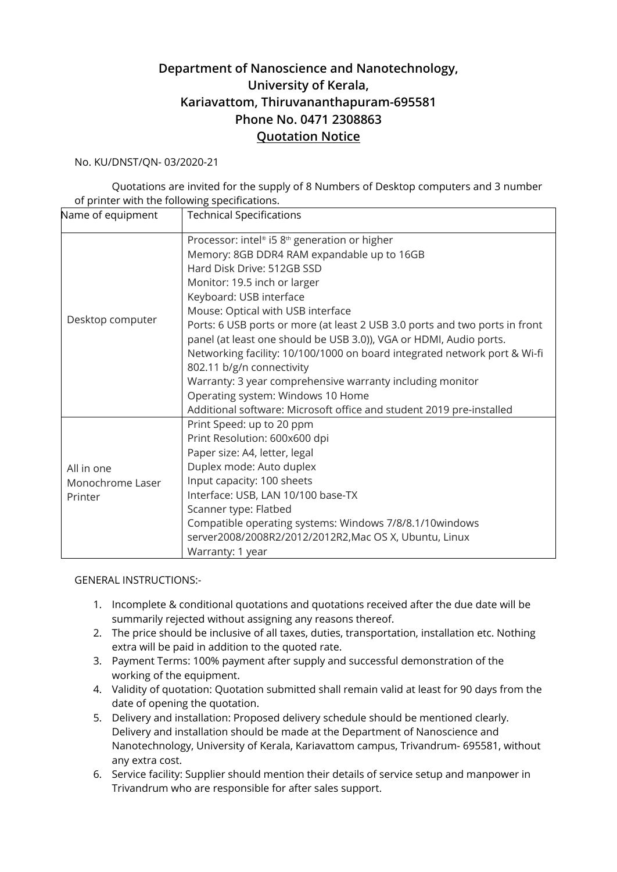## **Department of Nanoscience and Nanotechnology, University of Kerala, Kariavattom, Thiruvananthapuram-695581 Phone No. 0471 2308863 Quotation Notice**

## No. KU/DNST/QN- 03/2020-21

Quotations are invited for the supply of 8 Numbers of Desktop computers and 3 number of printer with the following specifications.

| Name of equipment | <b>Technical Specifications</b>                                             |
|-------------------|-----------------------------------------------------------------------------|
| Desktop computer  | Processor: intel® i5 8 <sup>th</sup> generation or higher                   |
|                   | Memory: 8GB DDR4 RAM expandable up to 16GB                                  |
|                   | Hard Disk Drive: 512GB SSD                                                  |
|                   | Monitor: 19.5 inch or larger                                                |
|                   | Keyboard: USB interface                                                     |
|                   | Mouse: Optical with USB interface                                           |
|                   | Ports: 6 USB ports or more (at least 2 USB 3.0 ports and two ports in front |
|                   | panel (at least one should be USB 3.0)), VGA or HDMI, Audio ports.          |
|                   | Networking facility: 10/100/1000 on board integrated network port & Wi-fi   |
|                   | 802.11 b/g/n connectivity                                                   |
|                   | Warranty: 3 year comprehensive warranty including monitor                   |
|                   | Operating system: Windows 10 Home                                           |
|                   | Additional software: Microsoft office and student 2019 pre-installed        |
|                   | Print Speed: up to 20 ppm                                                   |
|                   | Print Resolution: 600x600 dpi                                               |
|                   | Paper size: A4, letter, legal                                               |
| All in one        | Duplex mode: Auto duplex                                                    |
| Monochrome Laser  | Input capacity: 100 sheets                                                  |
| Printer           | Interface: USB, LAN 10/100 base-TX                                          |
|                   | Scanner type: Flatbed                                                       |
|                   | Compatible operating systems: Windows 7/8/8.1/10windows                     |
|                   | server2008/2008R2/2012/2012R2, Mac OS X, Ubuntu, Linux                      |
|                   | Warranty: 1 year                                                            |

## GENERAL INSTRUCTIONS:-

- 1. Incomplete & conditional quotations and quotations received after the due date will be summarily rejected without assigning any reasons thereof.
- 2. The price should be inclusive of all taxes, duties, transportation, installation etc. Nothing extra will be paid in addition to the quoted rate.
- 3. Payment Terms: 100% payment after supply and successful demonstration of the working of the equipment.
- 4. Validity of quotation: Quotation submitted shall remain valid at least for 90 days from the date of opening the quotation.
- 5. Delivery and installation: Proposed delivery schedule should be mentioned clearly. Delivery and installation should be made at the Department of Nanoscience and Nanotechnology, University of Kerala, Kariavattom campus, Trivandrum- 695581, without any extra cost.
- 6. Service facility: Supplier should mention their details of service setup and manpower in Trivandrum who are responsible for after sales support.